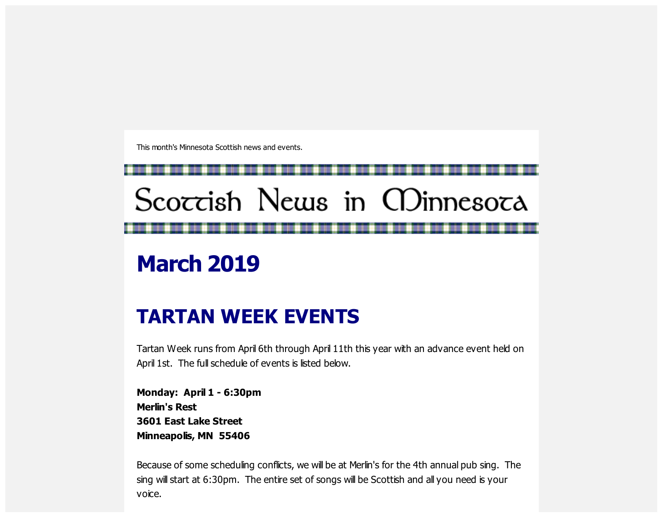This month's Minnesota Scottish news and events.

# Scoccish News in CDinnesoca

## **March 2019**

## **TARTAN WEEK EVENTS**

Tartan Week runs from April 6th through April 11th this year with an advance event held on April 1st. The full schedule of events is listed below.

**Monday: April 1 - 6:30pm Merlin's Rest 3601 East Lake Street Minneapolis, MN 55406**

Because of some scheduling conflicts, we will be at Merlin's for the 4th annual pub sing. The sing will start at 6:30pm. The entire set of songs will be Scottish and all you need is your voice.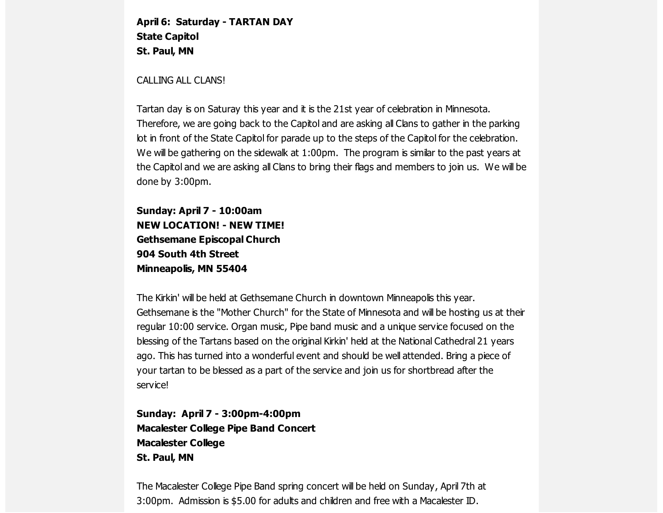**April 6: Saturday - TARTAN DAY State Capitol St. Paul, MN**

CALLING ALL CLANS!

Tartan day is on Saturay this year and it is the 21st year of celebration in Minnesota. Therefore, we are going back to the Capitol and are asking all Clans to gather in the parking lot in front of the State Capitol for parade up to the steps of the Capitol for the celebration. We will be gathering on the sidewalk at 1:00pm. The program is similar to the past years at the Capitol and we are asking all Clans to bring their flags and members to join us. We will be done by 3:00pm.

**Sunday: April 7 - 10:00am NEW LOCATION! - NEW TIME! Gethsemane Episcopal Church 904 South 4th Street Minneapolis, MN 55404**

The Kirkin' will be held at Gethsemane Church in downtown Minneapolis this year. Gethsemane is the "Mother Church" for the State of Minnesota and will be hosting us at their regular 10:00 service. Organ music, Pipe band music and a unique service focused on the blessing of the Tartans based on the original Kirkin' held at the National Cathedral 21 years ago. This has turned into a wonderful event and should be well attended. Bring a piece of your tartan to be blessed as a part of the service and join us for shortbread after the service!

**Sunday: April 7 - 3:00pm-4:00pm Macalester College Pipe Band Concert Macalester College St. Paul, MN**

The Macalester College Pipe Band spring concert will be held on Sunday, April 7th at 3:00pm. Admission is \$5.00 for adults and children and free with a Macalester ID.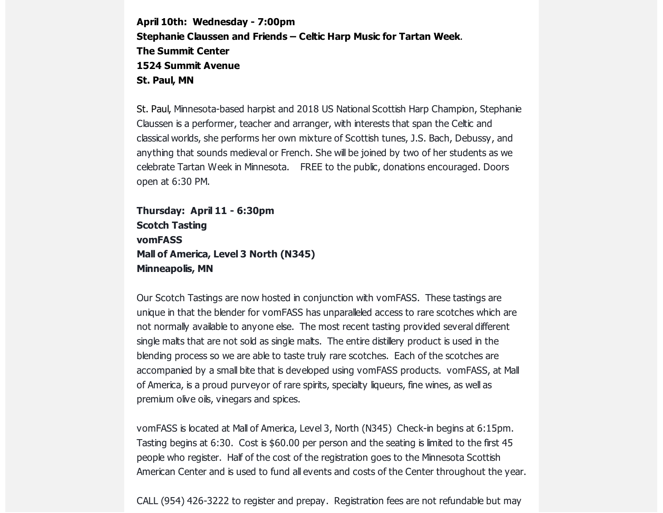**April 10th: Wednesday - 7:00pm Stephanie Claussen and Friends – Celtic Harp Music for Tartan Week**. **The Summit Center 1524 Summit Avenue St. Paul, MN**

St. Paul, Minnesota-based harpist and 2018 US National Scottish Harp Champion, Stephanie Claussen is a performer, teacher and arranger, with interests that span the Celtic and classical worlds, she performs her own mixture of Scottish tunes, J.S. Bach, Debussy, and anything that sounds medieval or French. She will be joined by two of her students as we celebrate Tartan Week in Minnesota. FREE to the public, donations encouraged. Doors open at 6:30 PM.

```
Thursday: April 11 - 6:30pm
Scotch Tasting
vomFASS
Mall of America, Level 3 North (N345)
Minneapolis, MN
```
Our Scotch Tastings are now hosted in conjunction with vomFASS. These tastings are unique in that the blender for vomFASS has unparalleled access to rare scotches which are not normally available to anyone else. The most recent tasting provided several different single malts that are not sold as single malts. The entire distillery product is used in the blending process so we are able to taste truly rare scotches. Each of the scotches are accompanied by a small bite that is developed using vomFASS products. vomFASS, at Mall of America, is a proud purveyor of rare spirits, specialty liqueurs, fine wines, as well as premium olive oils, vinegars and spices.

vomFASS is located at Mall of America, Level 3, North (N345) Check-in begins at 6:15pm. Tasting begins at 6:30. Cost is \$60.00 per person and the seating is limited to the first 45 people who register. Half of the cost of the registration goes to the Minnesota Scottish American Center and is used to fund all events and costs of the Center throughout the year.

CALL (954) 426-3222 to register and prepay. Registration fees are not refundable but may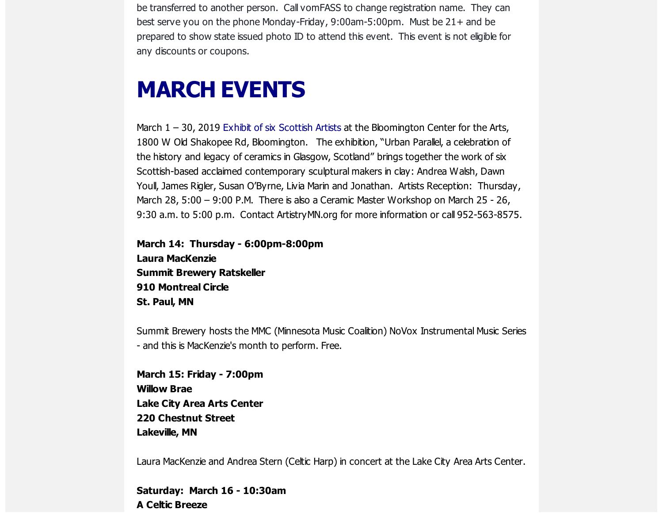be transferred to another person. Call vomFASS to change registration name. They can best serve you on the phone Monday-Friday, 9:00am-5:00pm. Must be 21+ and be prepared to show state issued photo ID to attend this event. This event is not eligible for any discounts or coupons.

#### **MARCH EVENTS**

March 1 – 30, 2019 Exhibit of six [Scottish](https://scottishamericancentermn.us10.list-manage.com/track/click?u=2fe4099001736ac4b948473e4&id=23c7590046&e=6b0ba04b53) Artists at the Bloomington Center for the Arts, 1800 W Old Shakopee Rd, Bloomington. The exhibition, "Urban Parallel, a celebration of the history and legacy of ceramics in Glasgow, Scotland" brings together the work of six Scottish-based acclaimed contemporary sculptural makers in clay: Andrea Walsh, Dawn Youll, James Rigler, Susan O'Byrne, Livia Marin and Jonathan. Artists Reception: Thursday, March 28, 5:00 – 9:00 P.M. There is also a Ceramic Master Workshop on March 25 - 26, 9:30 a.m. to 5:00 p.m. Contact ArtistryMN.org for more information or call 952-563-8575.

**March 14: Thursday - 6:00pm-8:00pm Laura MacKenzie Summit Brewery Ratskeller 910 Montreal Circle St. Paul, MN**

Summit Brewery hosts the MMC (Minnesota Music Coalition) NoVox Instrumental Music Series - and this is MacKenzie's month to perform. Free.

**March 15: Friday - 7:00pm Willow Brae Lake City Area Arts Center 220 Chestnut Street Lakeville, MN**

Laura MacKenzie and Andrea Stern (Celtic Harp) in concert at the Lake City Area Arts Center.

**Saturday: March 16 - 10:30am A Celtic Breeze**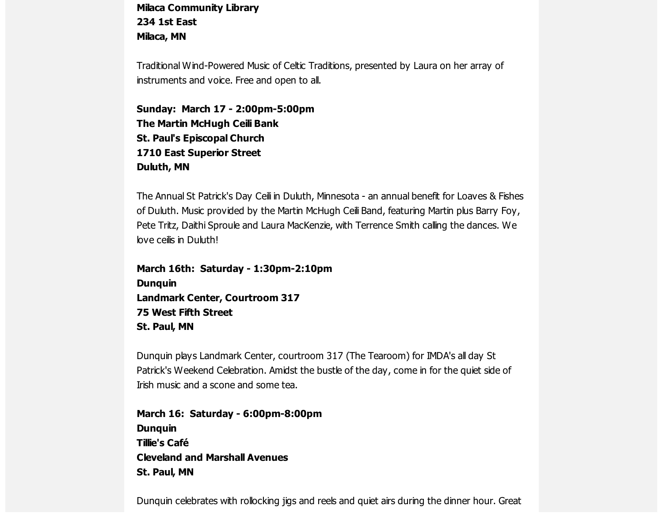**Milaca Community Library 234 1st East Milaca, MN**

Traditional Wind-Powered Music of Celtic Traditions, presented by Laura on her array of instruments and voice. Free and open to all.

**Sunday: March 17 - 2:00pm-5:00pm The Martin McHugh Ceili Bank St. Paul's Episcopal Church 1710 East Superior Street Duluth, MN**

The Annual St Patrick's Day Ceili in Duluth, Minnesota - an annual benefit for Loaves & Fishes of Duluth. Music provided by the Martin McHugh Ceili Band, featuring Martin plus Barry Foy, Pete Tritz, Daithi Sproule and Laura MacKenzie, with Terrence Smith calling the dances. We love ceilis in Duluth!

**March 16th: Saturday - 1:30pm-2:10pm Dunquin Landmark Center, Courtroom 317 75 West Fifth Street St. Paul, MN**

Dunquin plays Landmark Center, courtroom 317 (The Tearoom) for IMDA's all day St Patrick's Weekend Celebration. Amidst the bustle of the day, come in for the quiet side of Irish music and a scone and some tea.

**March 16: Saturday - 6:00pm-8:00pm Dunquin Tillie's Café Cleveland and Marshall Avenues St. Paul, MN**

Dunquin celebrates with rollocking jigs and reels and quiet airs during the dinner hour. Great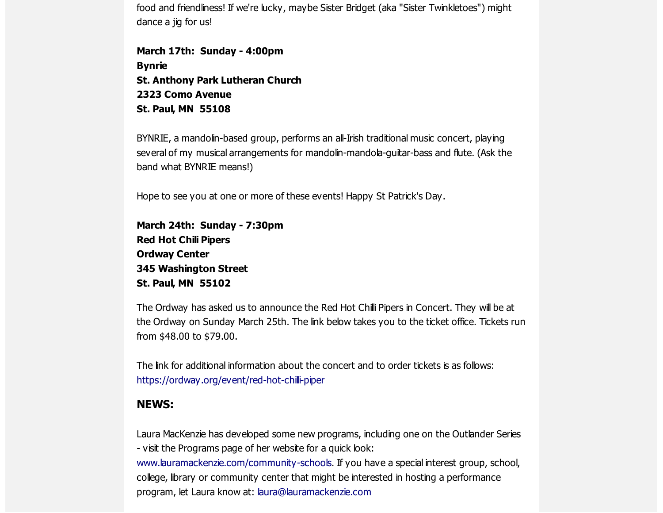food and friendliness! If we're lucky, maybe Sister Bridget (aka "Sister Twinkletoes") might dance a jig for us!

**March 17th: Sunday - 4:00pm Bynrie St. Anthony Park Lutheran Church 2323 Como Avenue St. Paul, MN 55108**

BYNRIE, a mandolin-based group, performs an all-Irish traditional music concert, playing several of my musical arrangements for mandolin-mandola-guitar-bass and flute. (Ask the band what BYNRIE means!)

Hope to see you at one or more of these events! Happy St Patrick's Day.

**March 24th: Sunday - 7:30pm Red Hot Chili Pipers Ordway Center 345 Washington Street St. Paul, MN 55102**

The Ordway has asked us to announce the Red Hot Chilli Pipers in Concert. They will be at the Ordway on Sunday March 25th. The link below takes you to the ticket office. Tickets run from \$48.00 to \$79.00.

The link for additional information about the concert and to order tickets is as follows: [https://ordway.org/event/red-hot-chilli-piper](https://scottishamericancentermn.us10.list-manage.com/track/click?u=2fe4099001736ac4b948473e4&id=41c336843a&e=6b0ba04b53)

#### **NEWS:**

Laura MacKenzie has developed some new programs, including one on the Outlander Series - visit the Programs page of her website for a quick look:

[www.lauramackenzie.com](https://scottishamericancentermn.us10.list-manage.com/track/click?u=2fe4099001736ac4b948473e4&id=1d80a48a52&e=6b0ba04b53)[/community-schools.](https://scottishamericancentermn.us10.list-manage.com/track/click?u=2fe4099001736ac4b948473e4&id=e6c8679041&e=6b0ba04b53) If you have a special interest group, school, college, library or community center that might be interested in hosting a performance program, let Laura know at: [laura@lauramackenzie.com](mailto:laura@lauramackenzie.com)